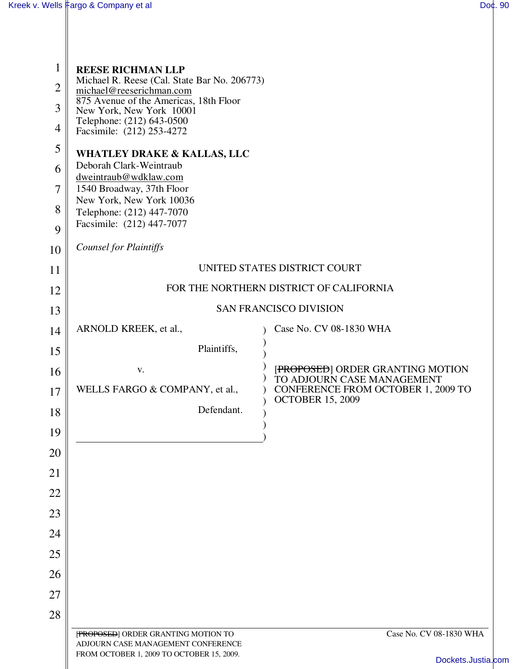| 1              | <b>REESE RICHMAN LLP</b>                                                                                                                       |                                                                |  |
|----------------|------------------------------------------------------------------------------------------------------------------------------------------------|----------------------------------------------------------------|--|
| $\overline{2}$ | Michael R. Reese (Cal. State Bar No. 206773)<br>michael@reeserichman.com<br>875 Avenue of the Americas, 18th Floor<br>New York, New York 10001 |                                                                |  |
| 3              |                                                                                                                                                |                                                                |  |
| $\overline{4}$ | Telephone: (212) 643-0500<br>Facsimile: (212) 253-4272                                                                                         |                                                                |  |
| 5              | <b>WHATLEY DRAKE &amp; KALLAS, LLC</b><br>Deborah Clark-Weintraub                                                                              |                                                                |  |
| 6              |                                                                                                                                                |                                                                |  |
| 7              | dweintraub@wdklaw.com<br>1540 Broadway, 37th Floor                                                                                             |                                                                |  |
| 8              | New York, New York 10036<br>Telephone: (212) 447-7070                                                                                          |                                                                |  |
| 9              | Facsimile: (212) 447-7077                                                                                                                      |                                                                |  |
| 10             | <b>Counsel for Plaintiffs</b>                                                                                                                  |                                                                |  |
| 11             | UNITED STATES DISTRICT COURT                                                                                                                   |                                                                |  |
| 12             | FOR THE NORTHERN DISTRICT OF CALIFORNIA                                                                                                        |                                                                |  |
| 13             | <b>SAN FRANCISCO DIVISION</b>                                                                                                                  |                                                                |  |
| 14             | ARNOLD KREEK, et al.,                                                                                                                          | Case No. CV 08-1830 WHA                                        |  |
| 15             | Plaintiffs,                                                                                                                                    |                                                                |  |
| 16             | V.                                                                                                                                             | [PROPOSED] ORDER GRANTING MOTION<br>TO ADJOURN CASE MANAGEMENT |  |
| 17             | WELLS FARGO & COMPANY, et al.,                                                                                                                 | CONFERENCE FROM OCTOBER 1, 2009 TO<br><b>OCTOBER 15, 2009</b>  |  |
| 18             | Defendant.                                                                                                                                     |                                                                |  |
| 19             |                                                                                                                                                |                                                                |  |
| 20             |                                                                                                                                                |                                                                |  |
| 21             |                                                                                                                                                |                                                                |  |
| 22             |                                                                                                                                                |                                                                |  |
| 23             |                                                                                                                                                |                                                                |  |
| 24             |                                                                                                                                                |                                                                |  |
| 25             |                                                                                                                                                |                                                                |  |
| 26             |                                                                                                                                                |                                                                |  |
| 27             |                                                                                                                                                |                                                                |  |
| 28             |                                                                                                                                                |                                                                |  |
|                | [PROPOSED] ORDER GRANTING MOTION TO<br>ADJOURN CASE MANAGEMENT CONFERENCE                                                                      | Case No. CV 08-1830 WHA                                        |  |
|                | FROM OCTOBER 1, 2009 TO OCTOBER 15, 2009.                                                                                                      | Dockets.Justia.com                                             |  |
|                |                                                                                                                                                |                                                                |  |